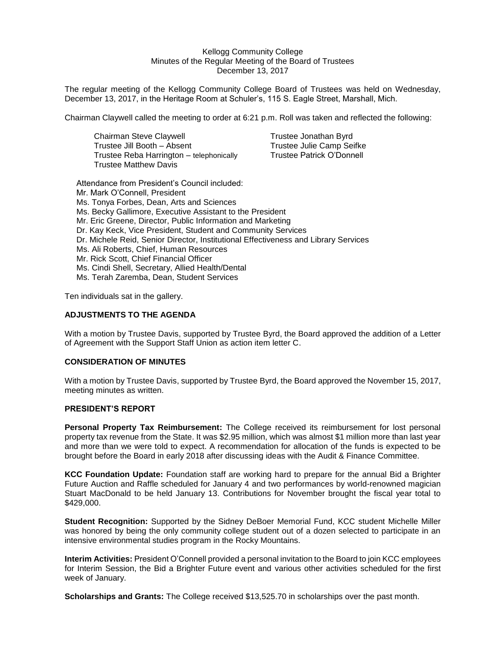#### Kellogg Community College Minutes of the Regular Meeting of the Board of Trustees December 13, 2017

The regular meeting of the Kellogg Community College Board of Trustees was held on Wednesday, December 13, 2017, in the Heritage Room at Schuler's, 115 S. Eagle Street, Marshall, Mich.

Chairman Claywell called the meeting to order at 6:21 p.m. Roll was taken and reflected the following:

| Chairman Steve Claywell                  |  |
|------------------------------------------|--|
| Trustee Jill Booth - Absent              |  |
| Trustee Reba Harrington - telephonically |  |
| <b>Trustee Matthew Davis</b>             |  |

Trustee Jonathan Byrd Trustee Julie Camp Seifke Trustee Patrick O'Donnell

Attendance from President's Council included: Mr. Mark O'Connell, President Ms. Tonya Forbes, Dean, Arts and Sciences Ms. Becky Gallimore, Executive Assistant to the President Mr. Eric Greene, Director, Public Information and Marketing Dr. Kay Keck, Vice President, Student and Community Services Dr. Michele Reid, Senior Director, Institutional Effectiveness and Library Services Ms. Ali Roberts, Chief, Human Resources Mr. Rick Scott, Chief Financial Officer Ms. Cindi Shell, Secretary, Allied Health/Dental Ms. Terah Zaremba, Dean, Student Services

Ten individuals sat in the gallery.

### **ADJUSTMENTS TO THE AGENDA**

With a motion by Trustee Davis, supported by Trustee Byrd, the Board approved the addition of a Letter of Agreement with the Support Staff Union as action item letter C.

### **CONSIDERATION OF MINUTES**

With a motion by Trustee Davis, supported by Trustee Byrd, the Board approved the November 15, 2017, meeting minutes as written.

# **PRESIDENT'S REPORT**

**Personal Property Tax Reimbursement:** The College received its reimbursement for lost personal property tax revenue from the State. It was \$2.95 million, which was almost \$1 million more than last year and more than we were told to expect. A recommendation for allocation of the funds is expected to be brought before the Board in early 2018 after discussing ideas with the Audit & Finance Committee.

**KCC Foundation Update:** Foundation staff are working hard to prepare for the annual Bid a Brighter Future Auction and Raffle scheduled for January 4 and two performances by world-renowned magician Stuart MacDonald to be held January 13. Contributions for November brought the fiscal year total to \$429,000.

**Student Recognition:** Supported by the Sidney DeBoer Memorial Fund, KCC student Michelle Miller was honored by being the only community college student out of a dozen selected to participate in an intensive environmental studies program in the Rocky Mountains.

**Interim Activities:** President O'Connell provided a personal invitation to the Board to join KCC employees for Interim Session, the Bid a Brighter Future event and various other activities scheduled for the first week of January.

**Scholarships and Grants:** The College received \$13,525.70 in scholarships over the past month.